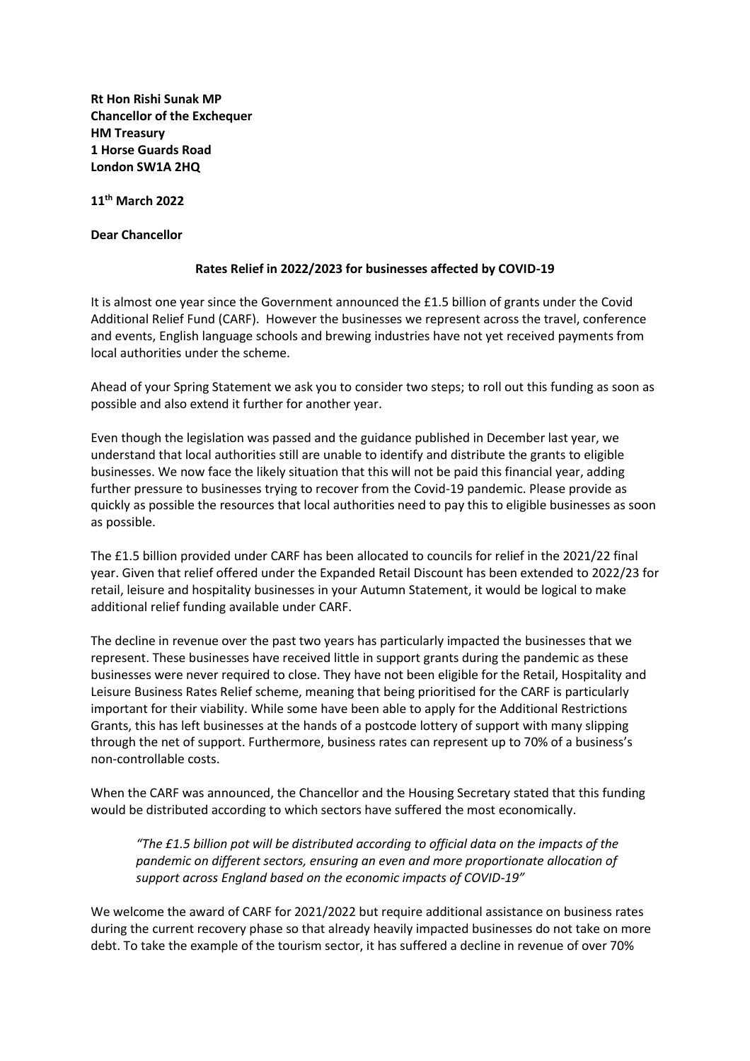**Rt Hon Rishi Sunak MP Chancellor of the Exchequer HM Treasury 1 Horse Guards Road London SW1A 2HQ**

**11 th March 2022**

## **Dear Chancellor**

## **Rates Relief in 2022/2023 for businesses affected by COVID-19**

It is almost one year since the Government announced the £1.5 billion of grants under the Covid Additional Relief Fund (CARF). However the businesses we represent across the travel, conference and events, English language schools and brewing industries have not yet received payments from local authorities under the scheme.

Ahead of your Spring Statement we ask you to consider two steps; to roll out this funding as soon as possible and also extend it further for another year.

Even though the legislation was passed and the guidance published in December last year, we understand that local authorities still are unable to identify and distribute the grants to eligible businesses. We now face the likely situation that this will not be paid this financial year, adding further pressure to businesses trying to recover from the Covid-19 pandemic. Please provide as quickly as possible the resources that local authorities need to pay this to eligible businesses as soon as possible.

The £1.5 billion provided under CARF has been allocated to councils for relief in the 2021/22 final year. Given that relief offered under the Expanded Retail Discount has been extended to 2022/23 for retail, leisure and hospitality businesses in your Autumn Statement, it would be logical to make additional relief funding available under CARF.

The decline in revenue over the past two years has particularly impacted the businesses that we represent. These businesses have received little in support grants during the pandemic as these businesses were never required to close. They have not been eligible for the Retail, Hospitality and Leisure Business Rates Relief scheme, meaning that being prioritised for the CARF is particularly important for their viability. While some have been able to apply for the Additional Restrictions Grants, this has left businesses at the hands of a postcode lottery of support with many slipping through the net of support. Furthermore, business rates can represent up to 70% of a business's non-controllable costs.

When the CARF was announced, the Chancellor and the Housing Secretary stated that this funding would be distributed according to which sectors have suffered the most economically.

*"The £1.5 billion pot will be distributed according to official data on the impacts of the pandemic on different sectors, ensuring an even and more proportionate allocation of support across England based on the economic impacts of COVID-19"*

We welcome the award of CARF for 2021/2022 but require additional assistance on business rates during the current recovery phase so that already heavily impacted businesses do not take on more debt. To take the example of the tourism sector, it has suffered a decline in revenue of over 70%